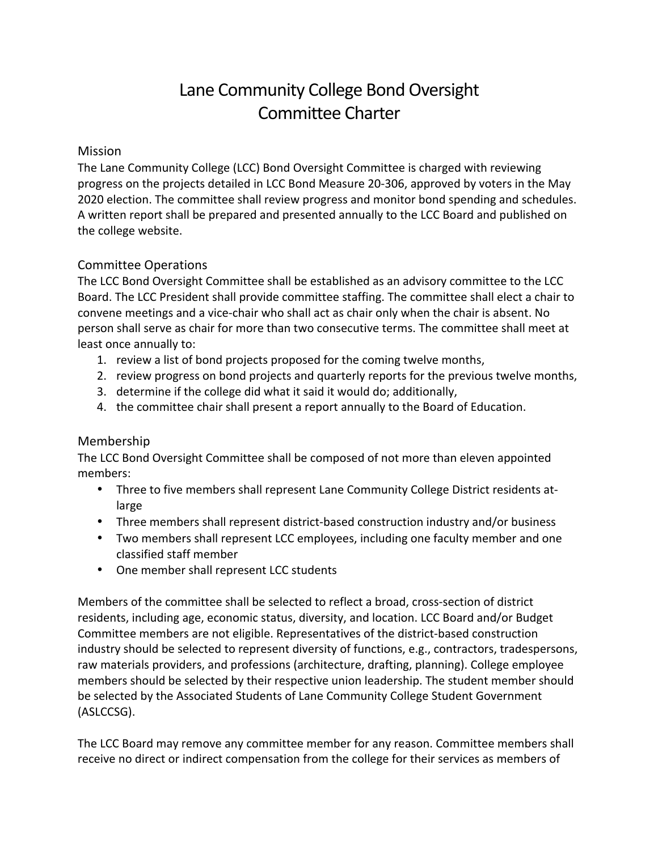# Lane Community College Bond Oversight Committee Charter

## Mission

The Lane Community College (LCC) Bond Oversight Committee is charged with reviewing progress on the projects detailed in LCC Bond Measure 20-306, approved by voters in the May 2020 election. The committee shall review progress and monitor bond spending and schedules. A written report shall be prepared and presented annually to the LCC Board and published on the college website.

## Committee Operations

The LCC Bond Oversight Committee shall be established as an advisory committee to the LCC Board. The LCC President shall provide committee staffing. The committee shall elect a chair to convene meetings and a vice-chair who shall act as chair only when the chair is absent. No person shall serve as chair for more than two consecutive terms. The committee shall meet at least once annually to:

- 1. review a list of bond projects proposed for the coming twelve months,
- 2. review progress on bond projects and quarterly reports for the previous twelve months,
- 3. determine if the college did what it said it would do; additionally,
- 4. the committee chair shall present a report annually to the Board of Education.

## Membership

The LCC Bond Oversight Committee shall be composed of not more than eleven appointed members:

- Three to five members shall represent Lane Community College District residents atlarge
- Three members shall represent district-based construction industry and/or business
- Two members shall represent LCC employees, including one faculty member and one classified staff member
- One member shall represent LCC students

Members of the committee shall be selected to reflect a broad, cross-section of district residents, including age, economic status, diversity, and location. LCC Board and/or Budget Committee members are not eligible. Representatives of the district-based construction industry should be selected to represent diversity of functions, e.g., contractors, tradespersons, raw materials providers, and professions (architecture, drafting, planning). College employee members should be selected by their respective union leadership. The student member should be selected by the Associated Students of Lane Community College Student Government (ASLCCSG). 

The LCC Board may remove any committee member for any reason. Committee members shall receive no direct or indirect compensation from the college for their services as members of